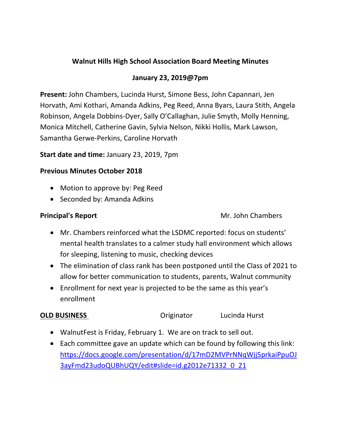# **Walnut Hills High School Association Board Meeting Minutes**

### **January 23, 2019@7pm**

**Present:** John Chambers, Lucinda Hurst, Simone Bess, John Capannari, Jen Horvath, Ami Kothari, Amanda Adkins, Peg Reed, Anna Byars, Laura Stith, Angela Robinson, Angela Dobbins-Dyer, Sally O'Callaghan, Julie Smyth, Molly Henning, Monica Mitchell, Catherine Gavin, Sylvia Nelson, Nikki Hollis, Mark Lawson, Samantha Gerwe-Perkins, Caroline Horvath

#### **Start date and time:** January 23, 2019, 7pm

#### **Previous Minutes October 2018**

- Motion to approve by: Peg Reed
- Seconded by: Amanda Adkins

**Principal's Report Mr. John Chambers** 

- Mr. Chambers reinforced what the LSDMC reported: focus on students' mental health translates to a calmer study hall environment which allows for sleeping, listening to music, checking devices
- The elimination of class rank has been postponed until the Class of 2021 to allow for better communication to students, parents, Walnut community
- Enrollment for next year is projected to be the same as this year's enrollment

## **OLD BUSINESS COLLECTE:** Originator **COLLECTE:** Lucinda Hurst

- WalnutFest is Friday, February 1. We are on track to sell out.
- Each committee gave an update which can be found by following this link: [https://docs.google.com/presentation/d/17mD2MVPrNNqWjj5prkaiPpuOJ](https://docs.google.com/presentation/d/17mD2MVPrNNqWjj5prkaiPpuOJ3ayFmd23udoQUBhUQY/edit#slide=id.g2012e71332_0_21) [3ayFmd23udoQUBhUQY/edit#slide=id.g2012e71332\\_0\\_21](https://docs.google.com/presentation/d/17mD2MVPrNNqWjj5prkaiPpuOJ3ayFmd23udoQUBhUQY/edit#slide=id.g2012e71332_0_21)